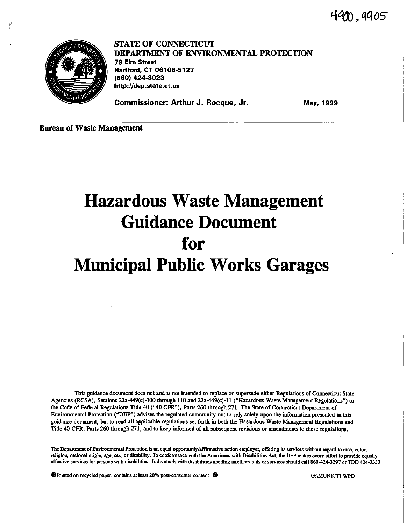$490,9905$ 



STATE OF CONNECTICUT DEPARTMENT OF ENVIRONMENTAL PROTECTION 79 Elm Street Hartford, CT 06106-5127 (860) 424-3023 http://dep.state.ct.us

Commissioner: Arthur J. Rocque, Jr.

May, 1999

Bureau of Waste Management

# Hazardous Waste Management Guidance Document for Municipal Public Works Garages

This guidance document does not and is not intended to replace or supersede either Regulations of Connecticut State Agencies (RCSA), Sections 22a-449(c)-100 through 110 and 22a-449(c)-11 ("Hazardous Waste Management Regulations") or the Code of Federal Regulations Title 40 ("40 CFR"), Parts 260 through 271. The State of Connecticut Department of Environmental Protection ("DEP") advises the regulated community not to rely solely upon the information presented in this guidance document, but to read all applicable regulations set forth in both the Hazardous Waste Management Regulations and Title 40 CFR, Parts 260 through 271, and to keep informed of all subsequent revisions or amendments to these regulations.

The Department of Environmental Protection is an equal opportunity/affinnative action employer, offering its services without regard to race, color, religion, national origin, age, sex. or disability. In confonnance with the Americans with Disabilities Act, the DEP makes every effort to provide equally effective services for persons with disabilities. Individuals with disabilities needing auxiliary aids or services should call 860-424-3297 or TDD 424-3333

**On** Printed on recycled paper: contains at least 20% post-consumer content  $\bullet$  G:\MUNICTI.WPD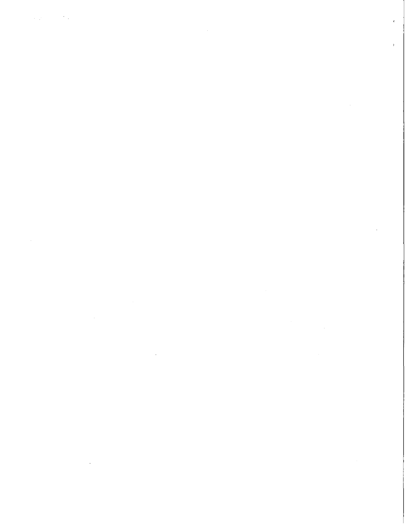$\label{eq:2.1} \frac{1}{\sqrt{2}}\sum_{i=1}^n\frac{1}{\sqrt{2}}\sum_{i=1}^n\frac{1}{\sqrt{2}}\sum_{i=1}^n\frac{1}{\sqrt{2}}\sum_{i=1}^n\frac{1}{\sqrt{2}}\sum_{i=1}^n\frac{1}{\sqrt{2}}\sum_{i=1}^n\frac{1}{\sqrt{2}}\sum_{i=1}^n\frac{1}{\sqrt{2}}\sum_{i=1}^n\frac{1}{\sqrt{2}}\sum_{i=1}^n\frac{1}{\sqrt{2}}\sum_{i=1}^n\frac{1}{\sqrt{2}}\sum_{i=1}^n\frac$ 

 $\mathcal{L}^{\mathcal{L}}(\mathcal{L}^{\mathcal{L}})$  and  $\mathcal{L}^{\mathcal{L}}(\mathcal{L}^{\mathcal{L}})$  and  $\mathcal{L}^{\mathcal{L}}(\mathcal{L}^{\mathcal{L}})$ 

 $\epsilon$ 

 $\bar{\mathbf{r}}$ 

 $\mathcal{L}(\mathcal{A})$ 

 $\sim 10^{-10}$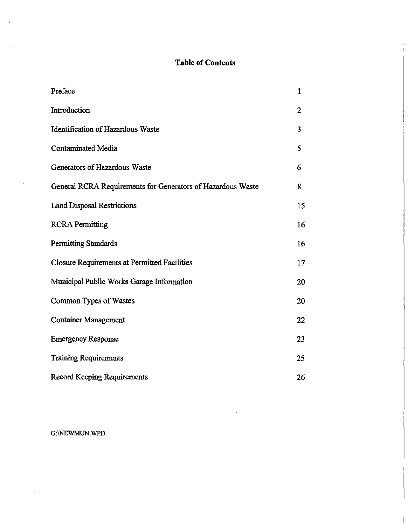# **Table of Contents**

| Preface                                                     | $\mathbf{1}$   |
|-------------------------------------------------------------|----------------|
| Introduction                                                | $\overline{2}$ |
| <b>Identification of Hazardous Waste</b>                    | 3              |
| <b>Contaminated Media</b>                                   | 5              |
| Generators of Hazardous Waste                               | 6              |
| General RCRA Requirements for Generators of Hazardous Waste | 8              |
| <b>Land Disposal Restrictions</b>                           | 15             |
| <b>RCRA</b> Permitting                                      | 16             |
| <b>Permitting Standards</b>                                 | 16             |
| <b>Closure Requirements at Permitted Facilities</b>         | 17             |
| Municipal Public Works Garage Information                   | 20             |
| Common Types of Wastes                                      | 20             |
| <b>Container Management</b>                                 | 22             |
| <b>Emergency Response</b>                                   | 23             |
| <b>Training Requirements</b>                                | 25             |
| <b>Record Keeping Requirements</b>                          | 26             |

G:\NEWMUN.WPD

 $\sim$ 

 $\bar{z}$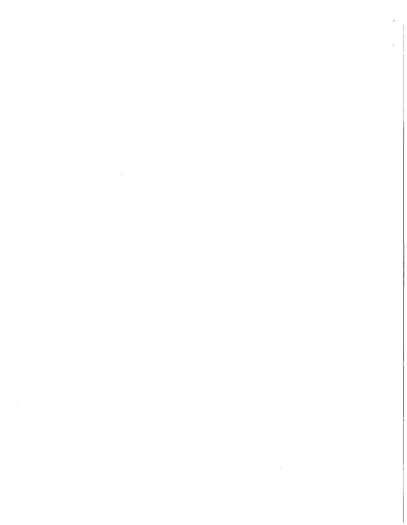$\ddot{\phantom{a}}$ 

 $\mathcal{L}^{\text{max}}_{\text{max}}$  and  $\mathcal{L}^{\text{max}}_{\text{max}}$ 

 $\label{eq:2} \frac{1}{\sqrt{2}}\left(\frac{1}{\sqrt{2}}\right)^{2} \left(\frac{1}{\sqrt{2}}\right)^{2} \left(\frac{1}{\sqrt{2}}\right)^{2} \left(\frac{1}{\sqrt{2}}\right)^{2} \left(\frac{1}{\sqrt{2}}\right)^{2} \left(\frac{1}{\sqrt{2}}\right)^{2} \left(\frac{1}{\sqrt{2}}\right)^{2} \left(\frac{1}{\sqrt{2}}\right)^{2} \left(\frac{1}{\sqrt{2}}\right)^{2} \left(\frac{1}{\sqrt{2}}\right)^{2} \left(\frac{1}{\sqrt{2}}\right)^{2} \left(\frac{$ 

 $\mathcal{L}^{\text{max}}_{\text{max}}$ 

 $\frac{1}{2} \left( \frac{1}{2} \right)$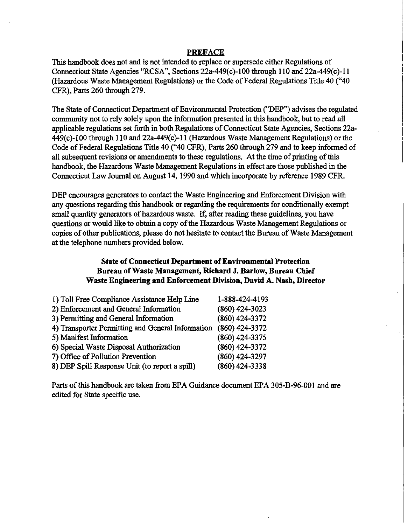# **PREFACE**

This handbook does not and is not intended to replace or supersede either Regulations of Connecticut State Agencies "RCSA", Sections 22a-449(c)-100 through 110 and 22a-449(c)-11 (Hazardous Waste Management Regulations) or the Code of Federal Regulations Title 40 ("40 CFR), Parts 260 through 279.

The State of Connecticut Department of Environmental Protection ("DEP") advises the regulated community not to rely solely upon the information presented in this handbook, but to read all applicable regulations set forth in both Regulations of Connecticut State Agencies, Sections 22a- $449(c)$ -100 through 110 and 22a-449(c)-11 (Hazardous Waste Management Regulations) or the Code of Federal Regulations Title 40 ("40 CFR), Parts 260 through 279 and to keep informed of all subsequent revisions or amendments to these regulations. At the time of printing of this handbook, the Hazardous Waste Management Regulations in effect are those published in the Connecticut Law Journal on August 14, 1990 and which incorporate by reference 1989 CFR.

DEP encourages generators to contact the Waste Engineering and Enforcement Division with any questions regarding this handbook or regarding the requirements for conditionally exempt small quantity generators of hazardous waste. If, after reading these guidelines, you have questions or would like to obtain a copy of the Hazardous Waste Management Regulations or copies of other publications, please do not hesitate to contact the Bureau of Waste Management at the telephone numbers provided below.

# State of Connecticut Department of Environmental Protection Bureau of Waste Management, Richard J. Barlow, Bureau Chief Waste Engineering and Enforcement Division, David A. Nash, Director

| 1) Toll Free Compliance Assistance Help Line      | 1-888-424-4193   |
|---------------------------------------------------|------------------|
| 2) Enforcement and General Information            | $(860)$ 424-3023 |
| 3) Permitting and General Information             | (860) 424-3372   |
| 4) Transporter Permitting and General Information | $(860)$ 424-3372 |
| 5) Manifest Information                           | $(860)$ 424-3375 |
| 6) Special Waste Disposal Authorization           | $(860)$ 424-3372 |
| 7) Office of Pollution Prevention                 | $(860)$ 424-3297 |
| 8) DEP Spill Response Unit (to report a spill)    | $(860)$ 424-3338 |

Parts of this handbook are taken from EPA Guidance document EPA 305-B-96-001 and are edited for State specific use.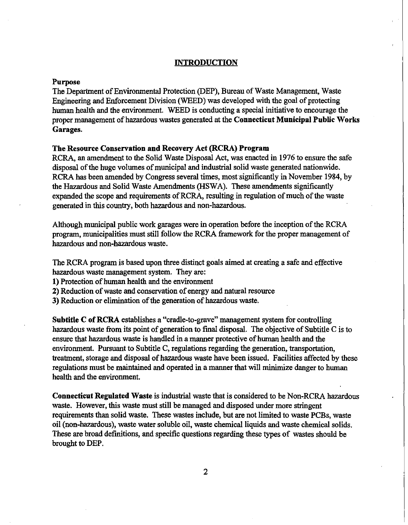# INTRODUCTION

## Purpose

The Department of Environmental Protection (DEP), Bureau of Waste Management, Waste Engineering and Enforcement Division (WEED) was developed with the goal of protecting human health and the environment. WEED is conducting a special initiative to encourage the proper management of hazardous wastes generated at the Connecticut Municipal Public Works Garages.

# The Resource Conservation and Recovery Act (RCRA) Program

RCRA, an amendment to the Solid Waste Disposal Act, was enacted in 1976 to ensure the safe disposal of the huge volumes of municipal and industrial solid waste generated nationwide. RCRA has been amended by Congress several times, most significantly in November 1984, by the Hazardous and Solid Waste Amendments (HSWA). These amendments significantly expanded the scope and requirements of RCRA, resulting in regulation of much of the waste generated in this country, both hazardous and non-hazardous.

Although municipal public work garages were in operation before the inception of the RCRA program, municipalities must still follow the RCRA framework for the proper management of hazardous and non-hazardous waste.

The RCRA program is based upon three distinct goals aimed at creating a safe and effective hazardous waste management system. They are:

1) Protection of human health and the environment

2) Reduction of waste and conservation of energy and natural resource

3) Reduction or elimination of the generation of hazardous waste.

Subtitle C of RCRA establishes a "cradle-to-grave" management system for controlling hazardous waste from its point of generation to final disposal. The objective of Subtitle C is to ensure that hazardous waste is handled in a manner protective of human health and the environment. Pursuant to Subtitle C, regulations regarding the generation, transportation, treatment, storage and disposal of hazardous waste have been issued. Facilities affected by these regulations must be maintained and operated in a manner that will minimize danger to human health and the environment.

Connecticut Regulated Waste is industrial waste that is considered to be Non-RCRA hazardous waste. However, this waste must still be managed and disposed under more stringent requirements than solid waste. These wastes include, but are not limited to waste PCBs, waste oil (non-hazardous), waste water soluble oil, waste chemical liquids and waste chemical solids. These are broad definitions, and specific questions regarding these types of wastes should be brought to DEP.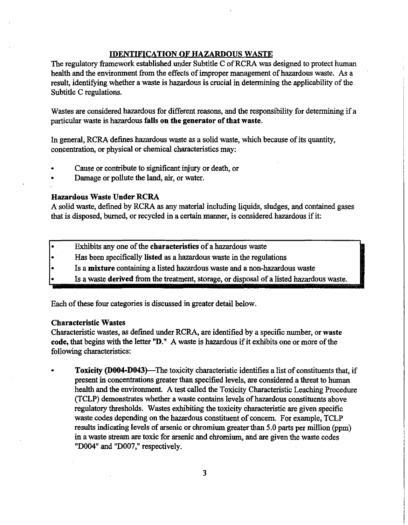# IDENTIFICATION OF HAZARDOUS WASTE

The regulatory framework established under Subtitle C of RCRA was designed to protect human health and the environment from the effects of improper management of hazardous waste. As a result, identifying whether a waste is hazardous is crucial in determining the applicability of the Subtitle C regulations.

Wastes are considered hazardous for different reasons, and the responsibility for determining if a particular waste is hazardous falls on the generator of that waste.

In general, RCRA defines hazardous waste as a solid waste, which because of its quantity, concentration, or physical or chemical characteristics may:

- Cause or contribute to significant injury or death, or
- Damage or pollute the land, air, or water.

# Hazardous Waste Under RCRA

A solid waste, defined by RCRA as any material including liquids, sludges, and contained gases that is disposed, burned, or recycled in a certain manner, is considered hazardous if it:

- Exhibits any one of the characteristics of a hazardous waste
- Has been specifically listed as a hazardous waste in the regulations
- Is a mixture containing a listed hazardous waste and a non-hazardous waste
- Is a waste **derived** from the treatment, storage, or disposal of a listed hazardous waste.

Each of these four categories is discussed in greater detail below.

# Characteristic Wastes

Characteristic wastes, as defined under RCRA, are identified by a specific number, or waste code, that begins with the letter "D." A waste is hazardous if it exhibits one or more of the following characteristics:

**Toxicity (D004-D043)—The toxicity characteristic identifies a list of constituents that, if** present in concentrations greater than specified levels, are considered a threat to human health and the environment. A test called the Toxicity Characteristic Leaching Procedure (TCLP) demonstrates whether a waste contains levels of hazardous constituents above regulatory thresholds. Wastes exhibiting the toxicity characteristic are given specific waste codes depending on the hazardous constituent of concern. For example, TCLP results indicating levels of arsenic or chromium greater than 5.0 parts per million (ppm) in a waste stream are toxic for arsenic and chromium, and are given the waste codes "D004" and "D007," respectively.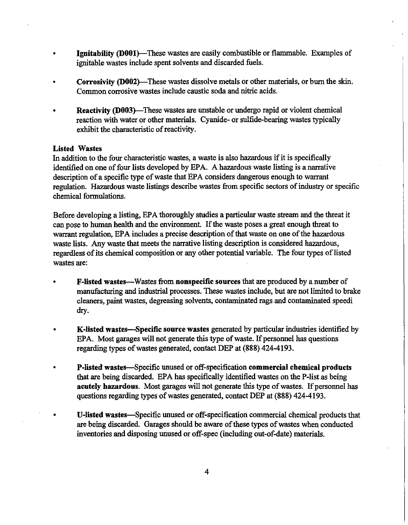- **Ignitability (D001)—These wastes are easily combustible or flammable. Examples of** ignitable wastes include spent solvents and discarded fuels.
- Corrosivity (D002}--These wastes dissolve metals or other materials, or burn the skin. Common corrosive wastes include caustic soda and nitric acids.
- **Reactivity (D003)**—These wastes are unstable or undergo rapid or violent chemical reaction with water or other materials. Cyanide- or sulfide-bearing wastes typically exhibit the characteristic of reactivity.

# Listed Wastes

In addition to the four characteristic wastes, a waste is also hazardous if it is specifically identified on one of four lists developed by EPA. A hazardous waste listing is a narrative description of a specific type of waste that EPA considers dangerous enough to warrant regulation. Hazardous waste listings describe wastes from specific sectors of industry or specific chemical formulations.

Before developing a listing, EPA thoroughly studies a particular waste stream and the threat it can pose to human health and the environment. If the waste poses a great enough threat to warrant regulation, EPA includes a precise description of that waste on one of the hazardous waste lists. Any waste that meets the narrative listing description is considered hazardous, regardless of its chemical composition or any other potential variable. The four types of listed wastes are:

- F-listed wastes—Wastes from nonspecific sources that are produced by a number of manufacturing and industrial processes. These wastes include, but are not limited to brake cleaners, paint wastes, degreasing solvents, contaminated rags and contaminated speedi dry.
- K-listed wastes--Specific source wastes generated by particular industries identified by EPA. Most garages will not generate this type of waste. If personnel has questions regarding types of wastes generated, contact DEP at (888) 424-4193.
- P-listed wastes—Specific unused or off-specification commercial chemical products that are being discarded. EPA has specifically identified wastes on the P-list as being acutely hazardous. Most garages will not generate this type of wastes. If personnel has questions regarding types of wastes generated, contact DEP at (888) 424-4193.
- U-listed wastes-Specific unused or off-specification commercial chemical products that are being discarded. Garages should be aware of these types of wastes when conducted inventories and disposing unused or off-spec (including out-of-date) materials.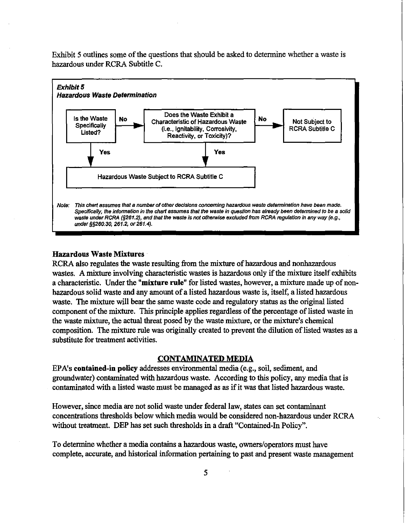Exhibit 5 outlines some of the questions that should be asked to detemiine whether a waste is hazardous under RCRA Subtitle C.



## Hazardous Waste Mixtures

RCRA also regulates the waste resulting from the mixture of hazardous and nonhazardous wastes. A mixture involving characteristic wastes is hazardous only if the mixture itself exhibits a characteristic. Under the "mixture rule" for listed wastes, however, a mixture made up of nonhazardous solid waste and any amount of a listed hazardous waste is, itself, a listed hazardous waste. The mixture will bear the same waste code and regulatory status as the original listed component of the mixture. This principle applies regardless of the percentage of listed waste in the waste mixture, the actual threat posed by the waste mixture, or the mixture's chemical composition. The mixture rule was originally created to prevent the dilution of listed wastes as a substitute for treatment activities.

# CONTAMINATED MEDIA

EPA's contained-in policy addresses environmental media (e.g., soil, sediment, and groundwater) contaminated with hazardous waste. According to this policy, any media that is contaminated with a listed waste must be managed as as if it was that listed hazardous waste.

However, since media are not solid waste under federal law, states can set contaminant concentrations thresholds below which media would be considered non-hazardous under RCRA without treatment. DEP has set such thresholds in a draft "Contained-In Policy".

To determine whether a media contains a hazardous waste, owners/operators must have complete, accurate, and historical information pertaining to past and present waste management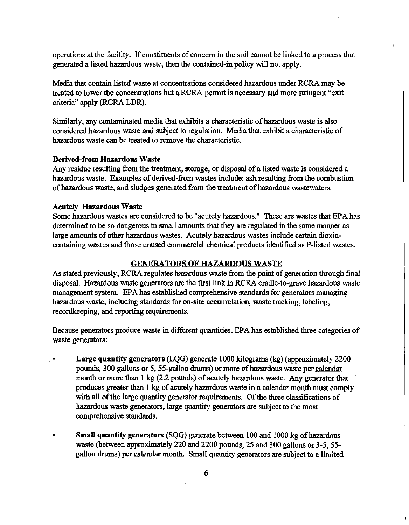operations at the facility. If constituents of concern in the soil cannot be linked to a process that generated a listed hazardous waste, then the contained-in policy will not apply.

Media that contain listed waste at concentrations considered hazardous under RCRA may be treated to lower the concentrations but a RCRA permit is necessary and more stringent "exit criteria" apply (RCRA LDR).

Similarly, any contaminated media that exhibits a characteristic of hazardous waste is also considered hazardous waste and subject to regulation. Media that exhibit a characteristic of hazardous waste can be treated to remove the characteristic.

# Derived-from Hazardous Waste

Any residue resulting from the treatment, storage, or disposal of a listed waste is considered a hazardous waste. Examples of derived-from wastes include: ash resulting from the combustion of hazardous waste, and sludges generated from the treatment of hazardous wastewaters.

#### Acutely Hazardous Waste

Some hazardous wastes are considered to be "acutely hazardous." These are wastes that EPA has determined to be so dangerous in small amounts that they are regulated in the same manner as large amounts of other hazardous wastes. Acutely hazardous wastes include certain dioxincontaining wastes and those unused commercial chemical products identified as P-listed wastes.

## GENERATORS OF HAZARDOUS WASTE

As stated previously, RCRA regulates hazardous waste from the point of generation through final disposal. Hazardous waste generators are the first link in RCRA cradle-to-grave hazardous waste management system. EPA has established comprehensive standards for generators managing hazardous waste, including standards for on-site accumulation, waste tracking, labeling, recordkeeping, and reporting requirements.

Because generators produce waste in different quantities, EPA has established three categories of waste generators:

- Large quantity generators (LQG) generate 1000 kilograms (kg) (approximately 2200 pounds, 300 gallons or S, SS-gallon drums) or more of hazardous waste per calendar month or more than 1 kg (2.2 pounds) of acutely hazardous waste. Any generator that produces greater than 1 kg of acutely hazardous waste in a calendar month must comply with all of the large quantity generator requirements. Of the three classifications of hazardous waste generators, large quantity generators are subject to the most comprehensive standards.
- Small quantity generators (SQG) generate between 100 and 1000 kg of hazardous waste (between approximately 220 and 2200 pounds, 2S and 300 gallons or 3-S, SSgallon drums) per calendar month. Small quantity generators are subject to a limited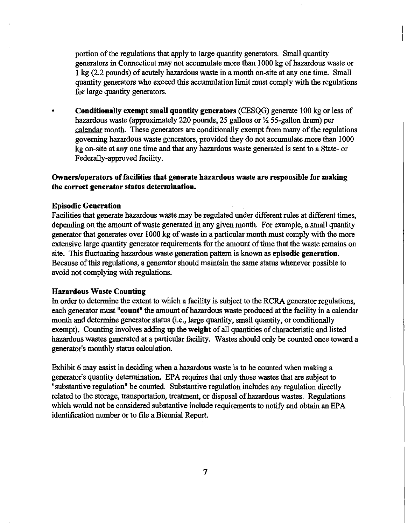portion of the regulations that apply to large quantity generators. Small quantity generators in Connecticut may not accumulate more than 1000 kg of hazardous waste or 1 kg (2.2 pounds) of acutely hazardous waste in a month on-site at any one time. Small quantity generators who exceed this accumulation limit must comply with the regulations for large quantity generators.

• Conditionally exempt small quantity generators (CESQG) generate 100 kg or Jess of hazardous waste (approximately 220 pounds, 25 gallons or *Y,* 55-gallon drum) per calendar month. These generators are conditionally exempt from many of the regulations governing hazardous waste generators, provided they do not accumulate more than 1000 kg on-site at any one time and that any hazardous waste generated is sent to a State- or Federally-approved facility.

# Owners/operators of facilities that generate hazardous waste are responsible for making the correct generator status determination.

## Episodic Generation

Facilities that generate hazardous waste may be regulated under different rules at different times, depending on the amount of waste generated in any given month. For example, a small quantity generator that generates over 1000 kg of waste in a particular month must comply with the more extensive large quantity generator requirements for the amount of time that the waste remains on site. This fluctuating hazardous waste generation pattern is known as episodic generation. Because of this regulations, a generator should maintain the same status whenever possible to avoid not complying with regulations.

## Hazardous Waste Counting

In order to determine the extent to which a facility is subject to the RCRA generator regulations, each generator must "count" the amount of hazardous waste produced at the facility in a calendar month and determine generator status (i.e., large quantity, small quantity, or conditionally exempt). Counting involves adding up the weight of all quantities of characteristic and listed hazardous wastes generated at a particular facility. Wastes should only be counted once toward a generator's monthly status calculation.

Exhibit 6 may assist in deciding when a hazardous waste is to be counted when making a generator's quantity determination. EPA requires that only those wastes that are subject to "substantive regulation" be counted. Substantive regulation includes any regulation directly related to the storage, transportation, treatment, or disposal of hazardous wastes. Regulations which would not be considered substantive include requirements to notify and obtain an EPA identification number or to file a Biennial Report.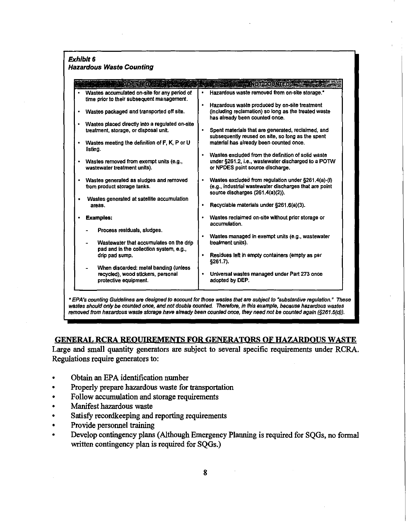| Exhibit 6                       |  |
|---------------------------------|--|
| <b>Hazardous Waste Counting</b> |  |

| time prior to their subsequent management.                                          | Wastes accumulated on-site for any period of                                       | Hazardous waste removed from on-site storage.*                                                                                                    |
|-------------------------------------------------------------------------------------|------------------------------------------------------------------------------------|---------------------------------------------------------------------------------------------------------------------------------------------------|
| Wastes packaged and transported off site.<br>٠                                      |                                                                                    | Hazardous waste produced by on-site treatment<br>(including reclamation) so long as the treated waste<br>has already been counted once.           |
| $\bullet$<br>treatment, storage, or disposal unit.                                  | Wastes placed directly into a regulated on-site                                    | Spent materials that are generated, reclaimed, and<br>subsequently reused on site, so long as the spent                                           |
| ٠<br>listing.                                                                       | Wastes meeting the definition of F, K, P or U                                      | material has already been counted once.<br>Wastes excluded from the definition of solid waste                                                     |
| Wastes removed from exempt units (e.g.,<br>٠<br>wastewater treatment units).        |                                                                                    | under §261.2, i.e., wastewater discharged to a POTW<br>or NPDES point source discharge.                                                           |
| Wastes generated as sludges and removed<br>$\bullet$<br>from product storage tanks. |                                                                                    | Wastes excluded from regulation under §261.4(a)-(f)<br>(e.g., industrial wastewater discharges that are point<br>source discharges (261.4(a)(2)). |
| $\bullet$<br>areas.                                                                 | Wastes generated at satellite accumulation                                         | Recyclable materials under §261.6(a)(3).                                                                                                          |
| <b>Examples:</b>                                                                    |                                                                                    | Wastes reclaimed on-site without prior storage or<br>accumulation.                                                                                |
| Process residuals, sludges.                                                         |                                                                                    | Wastes managed in exempt units (e.g., wastewater                                                                                                  |
|                                                                                     | Wastewater that accumulates on the drip<br>pad and in the collection system, e.g., | treatment units).                                                                                                                                 |
| drip pad sump.                                                                      | When discarded: metal banding (unless                                              | Residues left in empty containers (empty as per<br>\$261.7).                                                                                      |
| protective equipment.                                                               | recycled), wood stickers, personal                                                 | Universal wastes managed under Part 273 once<br>adopted by DEP.                                                                                   |

**\*EPA 's counting Guidelines ate designed** *to* **account for those wastes that are subject to "substantive ragulation." These wastes should only be counted once, and not double counted. Therefore, in this example, because hazardous wastes**  removed from hazardous waste storage have already been counted once, they need not be counted again (§261.5(d)).

# GENERAL RCRA REQUIREMENTS FOR GENERATORS OF HAZARDOUS WASTE

Large and small quantity generators are subject to several specific requirements under RCRA. Regulations require generators to:

- Obtain an EPA identification number
- Properly prepare hazardous waste for transportation
- Follow accumulation and storage requirements
- Manifest hazardous waste
- Satisfy recordkeeping and reporting requirements
- Provide personnel training
- Develop contingency plans (Although Emergency Planning is required for SQGs, no formal written contingency plan is required for SQGs.)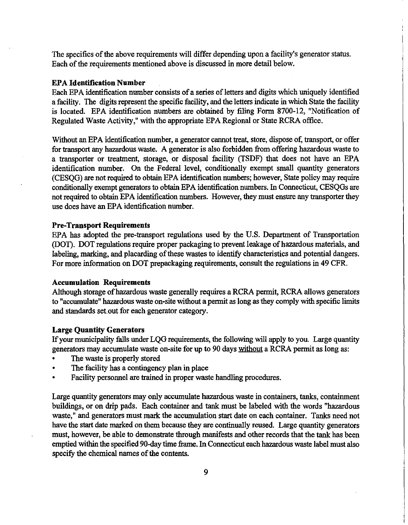The specifics of the above requirements will differ depending upon a facility's generator status. Each of the requirements mentioned above is discussed in more detail below.

## EPA Identification Number

Each EPA identification number consists of a series of letters and digits which uniquely identified a facility. The digits represent the specific facility, and the letters indicate in which State the facility is located. EPA identification numbers are obtained by filing Form 8700-12, "Notification of Regulated Waste Activity," with the appropriate EPA Regional or State RCRA office.

Without an EPA identification number, a generator cannot treat, store, dispose of, transport, or offer for transport any hazardous waste. A generator is also forbidden from offering hazardous waste to a transporter or treatment, storage, or disposal facility (TSDF) that does not have an EPA identification number. On the Federal level, conditionally exempt small quantity generators (CESQG) are not required to obtain EPA identification numbers; however, State policy may require conditionally exempt generators to obtain EPA identification numbers. In Connecticut, CESQGs are not required to obtain EPA identification numbers. However, they must ensure any transporter they use does have an EPA identification number.

#### Pre-Transport Requirements

EPA has adopted the pre-transport regulations used by the U.S. Department of Transportation (DOT). DOT regulations require proper packaging to prevent leakage of hazardous materials, and labeling, marking, and placarding of these wastes to identify characteristics and potential dangers. For more information on DOT prepackaging requirements, consult the regulations in 49 CFR.

## Accumulation Requirements

Although storage of hazardous waste generally requires a RCRA permit, RCRA allows generators to "accumulate" hazardous waste on-site without a permit as long as they comply with specific limits and standards set. out for each generator category.

## Large Quantity Generators

If your municipality falls under LQG requirements, the following will apply to you. Large quantity generators may accumulate waste on-site for up to 90 days without a RCRA permit as long as:

- The waste is properly stored
- The facility has a contingency plan in place
- Facility personnel are trained in proper waste handling procedures.

Large quantity generators may only accumulate hazardous waste in containers, tanks, containment buildings, or on drip pads. Each container and tank must be labeled with the words "hazardous waste," and generators must mark the accumulation start date on each container. Tanks need not have the start date marked on them because they are continually reused. Large quantity generators must, however, be able to demonstrate through manifests and other records that the tank has been emptied within the specified 90-day time frame. In Connecticut each hazardous waste label must also specify the chemical names of the contents.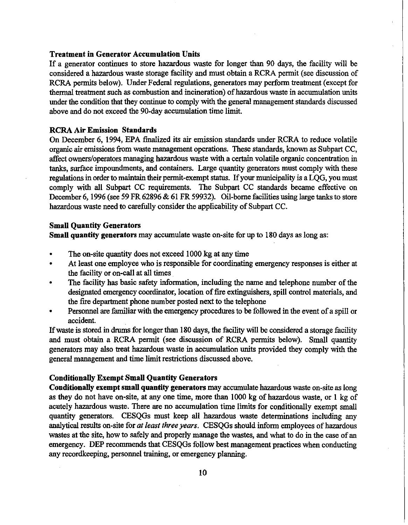## Treatment in Generator Accumulation Units

If a generator continues to store hazardous waste for longer than 90 days, the facility will be considered a hazardous waste storage facility and must obtain a RCRA pennit (see discussion of RCRA permits below). Under Federal regulations, generators may perform treatment (except for thermal treatment such as combustion and incineration) of hazardous waste in accumulation units under the condition that they continue to comply with the general management standards discussed above and do not exceed the 90-day accumulation time limit.

# RCRA Air Emission Standards

On December 6, 1994, EPA finalized its air emission standards under RCRA to reduce volatile organic air emissions from waste management operations. These standards, known as Subpart CC, affect owners/operators managing hazardous waste with a certain volatile organic concentration in tanks, surface impoundments, and containers. Large quantity generators must comply with these regulations in order to maintain their permit-exempt status. If your municipality is a LQG, you must comply with all Subpart CC requirements. The Subpart CC standards became effective on December 6, 1996 (see 59 FR 62896 & 61 FR 59932). Oil-borne facilities using large tanks to store hazardous waste need to carefully consider the applicability of Subpart CC.

# Small Quantity Generators

Small quantity generators may accumulate waste on-site for up to 180 days as long as:

- The on-site quantity does not exceed 1000 kg at any time
- At least one employee who is responsible for coordinating emergency responses is either at the facility or on-call at all times
- The facility has basic safety information, including the name and telephone number of the designated emergency coordinator, location of fire extinguishers, spill control materials, and the fire department phone number posted next to the telephone
- Personnel are familiar with the emergency procedures to be followed in the event of a spill or accident.

If waste is stored in drums for longer than 180 days, the facility will be considered a storage facility and must obtain a RCRA permit (see discussion of RCRA permits below). Small quantity generators may also treat hazardous waste in accumulation units provided they comply with the general management and time limit restrictions discussed above.

#### Conditionally Exempt Small Quantity Generators

Conditionally exempt small quantity generators may accumulate hazardous waste on-site as long as they do not have on-site, at any one time, more than 1000 kg of hazardous waste, or 1 kg of acutely hazardous waste. There are no accumulation time limits for conditionally exempt small quantity generators. CESQGs must keep all hazardous waste determinations including any analytical results on-site for *at least three years.* CESQGs should inform employees of hazardous wastes at the site, how to safely and properly manage the wastes, and what to do in the case of an emergency. DEP recommends that CESQGs follow best management practices when conducting any recordkeeping, personnel training, or emergency planning.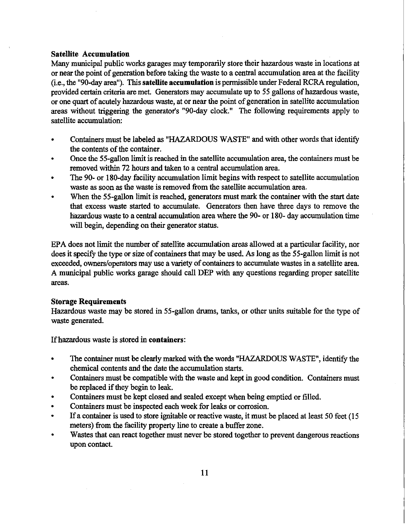# **Satellite Accumulation**

Many municipal public works garages may temporarily store their hazardous waste in locations at or near the point of generation before taking the waste to a central accumulation area at the facility (i.e., the "90-day area"). Tbis **satellite accumulation** is permissible under Federal RCRA regulation, provided certain criteria are met. Generators may accumulate up to *55* gallons of hazardous waste, or one quart of acutely hazardous waste, at or near the point of generation in satellite accumulation areas without triggering the generator's "90-day clock." The following requirements apply to satellite accumulation:

- Containers must be labeled as "HAZARDOUS WASTE" and with other words that identify the contents of the container.
- Once the 55-gallon limit is reached in the satellite accumulation area, the containers must be removed within 72 hours and taken to a central accumulation area.
- The 90- or 180-day facility accumulation limit begins with respect to satellite accumulation waste as soon as the waste is removed from the satellite accumulation area.
- When the 55-gallon limit is reached, generators must mark the container with the start date that excess waste started to accumulate. Generators then have three days to remove the hazardous waste to a central accumulation area where the 90- or 180- day accumulation time will begin, depending on their generator status.

EPA does not limit the number of satellite accumulation areas allowed at a particular facility, nor does it specify the type or size of containers that may be used. As long as the *5* 5-gallon limit is not exceeded, owners/operators may use a variety of containers to accumulate wastes in a satellite area. A municipal public works garage should call DEP with any questions regarding proper satellite areas.

# **Storage Requirements**

Hazardous waste may be stored in 55-gallon drums, tanks, or other units suitable for the type of waste generated.

If hazardous waste is stored in **containers:** 

- The container must be clearly marked with the words "HAZARDOUS WASTE", identify the chemical contents and the date the accumulation starts.
- Containers must be compatible with the waste and kept in good condition. Containers must be replaced if they begin to leak.
- Containers must be kept closed and sealed except when being emptied or filled.
- Containers must be inspected each week for leaks or corrosion.
- If a container is used to store ignitable or reactive waste, it must be placed at least 50 feet (15) meters) from the facility property line to create a buffer zone.
- Wastes that can react together must never be stored together to prevent dangerous reactions upon contact.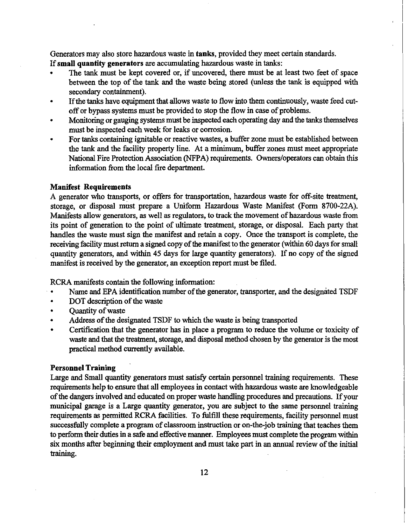Generators may also store hazardous waste in **tanks,** provided they meet certain standards. If **small quantity generators** are accumulating hazardous waste in tanks:

- The tank must be kept covered or, if uncovered, there must be at least two feet of space between the top of the tank and the waste being stored (unless the tank is equipped with secondary containment).
- If the tanks have equipment that allows waste to flow into them continuously, waste feed cutoff or bypass systems must be provided to stop the flow in case of problems.
- Monitoring or gauging systems must be inspected each operating day and the tanks themselves must be inspected each week for leaks or corrosion.
- For tanks containing ignitable or reactive wastes, a buffer zone must be established between the tank and the facility property line. At a minimum, buffer zones must meet appropriate National Fire Protection Association (NFPA) requirements. Owners/operators can obtain this information from the local frre department.

# **Manifest Requirements**

A generator who transports, or offers for transportation, hazardous waste for off-site treatment, storage, or disposal must prepare a Uniform Hazardous Waste Manifest (Form 8700-22A). Manifests allow generators, as well as regulators, to track the movement of hazardous waste from its point of generation to the point of ultimate treatment, storage, or disposal. Each party that handles the waste must sign the manifest and retain a copy. Once the transport is complete, the receiving facility must return a signed copy of the manifest to the generator (within 60 days for small quantity generators, and within 45 days for large quantity generators). If no copy of the signed manifest is received by the generator, an exception report must be filed.

RCRA manifests contain the following information:

- Name and EPA identification number of the generator, transporter, and the designated TSDF
- DOT description of the waste
- Quantity of waste
- Address of the designated TSDF to which the waste is being transported
- Certification that the generator has in place a program to reduce the volume or toxicity of waste and that the treatment, storage, and disposal method chosen by the generator is the most practical method currently available.

# **Personnel Training**

Large and Small quantity generators must satisfy certain personnel training requirements. These requirements help to ensure that all employees in contact with hazardous waste are knowledgeable of the dangers involved and educated on proper waste handling procedures and precautions. If your municipal garage is a Large quantity generator, you are subject to the same personnel training requirements as permitted RCRA facilities. To fulfill these requirements, facility personnel must successfully complete a program of classroom instruction or on-the-job training that teaches them to perform their duties in a safe and effective manner. Employees must complete the program within six months after beginning their employment and must take part in an annual review of the initial training.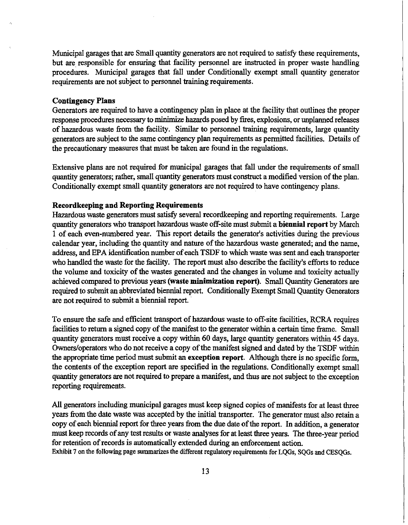Municipal garages that are Small quantity generators are not required to satisfy these requirements, but are responsible for ensuring that facility personnel are instructed in proper waste handling procedures. Municipal garages that fall under Conditionally exempt small quantity generator requirements are not subject to personnel training requirements.

#### Contingency Plans

Generators are required to have a contingency plan in place at the facility that outlines the proper response procedures necessary to minimize hazards posed by fires, explosions, or unplanned releases of hazardous waste from the facility. Similar to personnel training requirements, large quantity generators are subject to the same contingency plan requirements as permitted facilities. Details of the precautionary measures that must be taken are found in the regulations.

Extensive plans are not required for municipal garages that fall under the requirements of small quantity generators; rather, small quantity generators must construct a modified version of the plan. Conditionally exempt small quantity generators are not required to have contingency plans.

# Recordkeeping and Reporting Requirements

Hazardous waste generators must satisfy several recordkeeping and reporting requirements. Large quantity generators who transport hazardous waste off-site must submit a biennial report by March 1 of each even-numbered year. This report details the generator's activities during the previous calendar year, including the quantity and nature of the hazardous waste generated; and the name, address, and EPA identification number of each TSDF to which waste was sent and each transporter who handled the waste for the facility. The report must also describe the facility's efforts to reduce the volume and toxicity of the wastes generated and the changes in volume and toxicity actually achieved compared to previous years (waste minimization report). Small Quantity Generators are required to submit an abbreviated biennial report. Conditionally Exempt Small Quantity Generators are not required to submit a biennial report.

To ensure the safe and efficient transport of hazardous waste to off-site facilities, RCRA requires facilities to return a signed copy of the manifest to the generator within a certain time frame. Small quantity generators must receive a copy within 60 days, large quantity generators within 45 days. Owners/operators who do not receive a copy of the manifest signed and dated by the TSDF within the appropriate time period must submit an exception report. Although there is no specific form, the contents of the exception report are specified in the regulations. Conditionally exempt small quantity generators are not required to prepare a manifest, and thus are not subject to the exception reporting requirements.

All generators including municipal garages must keep signed copies of manifests for at least three years from the date waste was accepted by the initial transporter. The generator must also retain a copy of each biennial report for three years from the due date of the report. In addition, a generator must keep records of any test results or waste analyses for at least three years. The three-year period for retention of records is automatically extended during an enforcement action.

Exhibit 7 on the following page summarizes the different regulatory requirements for LQGs, SQGs and CESQGs.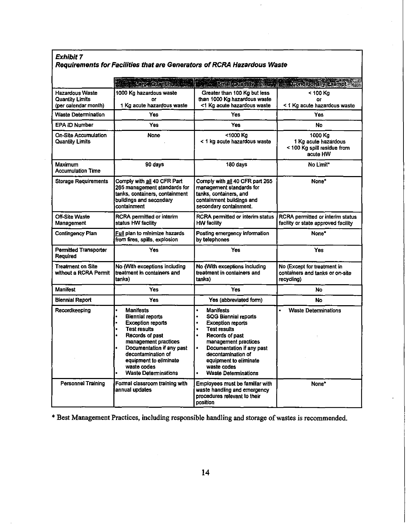## Exhibit 7 Requirements for Facilities that are Generators of RCRA Hazardous Waste

|                                                                          |                                                                                                                                                                                                                                                                                                          | <b>Example 2019 Property South American South According to the Conditionally Exempts</b>                                                                                                                                                                                                             |                                                                              |
|--------------------------------------------------------------------------|----------------------------------------------------------------------------------------------------------------------------------------------------------------------------------------------------------------------------------------------------------------------------------------------------------|------------------------------------------------------------------------------------------------------------------------------------------------------------------------------------------------------------------------------------------------------------------------------------------------------|------------------------------------------------------------------------------|
| <b>Hazardous Waste</b><br><b>Quantity Limits</b><br>(per calendar month) | 1000 Kg hazardous waste<br>or<br>1 Kg acute hazardous waste                                                                                                                                                                                                                                              | Greater than 100 Kg but less<br>than 1000 Kg hazardous waste<br><1 Kg acute hazardous waste                                                                                                                                                                                                          | < 100 Ka<br>OГ<br>< 1 Kg acute hazardous waste                               |
| <b>Waste Determination</b>                                               | Yes                                                                                                                                                                                                                                                                                                      | Yes                                                                                                                                                                                                                                                                                                  | <b>Yes</b>                                                                   |
| <b>EPA ID Number</b>                                                     | <b>Yes</b>                                                                                                                                                                                                                                                                                               | <b>Yes</b>                                                                                                                                                                                                                                                                                           | <b>No</b>                                                                    |
| <b>On-Site Accumulation</b><br><b>Quantity Limits</b>                    | None                                                                                                                                                                                                                                                                                                     | <1000 Ka<br>< 1 kg acute hazardous waste                                                                                                                                                                                                                                                             | 1000 Ka<br>1 Kg acute hazardous<br>< 100 Kg spill residue from<br>acute HW   |
| Maximum<br><b>Accumulation Time</b>                                      | 90 days                                                                                                                                                                                                                                                                                                  | 180 days                                                                                                                                                                                                                                                                                             | No Limit*                                                                    |
| <b>Storage Requirements</b>                                              | Comply with all 40 CFR Part<br>265 management standards for<br>tanks, containers, containment<br>buildings and secondary<br>containment                                                                                                                                                                  | Comply with all 40 CFR part 265<br>management standards for<br>tanks, containers, and<br>containment buildings and<br>secondary containment.                                                                                                                                                         | None"                                                                        |
| <b>Off-Site Waste</b><br>Management                                      | RCRA permitted or interim<br>status HW facility                                                                                                                                                                                                                                                          | RCRA permitted or interim status<br><b>HW</b> facility                                                                                                                                                                                                                                               | RCRA permitted or interim status<br>facility or state approved facility      |
| <b>Contingency Plan</b>                                                  | Full plan to minimize hazards<br>from fires, spills, explosion                                                                                                                                                                                                                                           | Posting emergency information<br>by telephones                                                                                                                                                                                                                                                       | None*                                                                        |
| <b>Permitted Transporter</b><br><b>Required</b>                          | Yes                                                                                                                                                                                                                                                                                                      | Yes.                                                                                                                                                                                                                                                                                                 | <b>Yes</b>                                                                   |
| <b>Treatment on Site</b><br>without a RCRA Permit                        | No (With exceptions including<br>treatment in containers and<br>tanks)                                                                                                                                                                                                                                   | No (With exceptions including<br>treatment in containers and<br>tanks)                                                                                                                                                                                                                               | No (Except for treatment in<br>containers and tanks or on-site<br>recycling) |
| <b>Manifest</b>                                                          | Yes                                                                                                                                                                                                                                                                                                      | Yes                                                                                                                                                                                                                                                                                                  | <b>No</b>                                                                    |
| <b>Biennial Report</b>                                                   | <b>Yes</b>                                                                                                                                                                                                                                                                                               | Yes (abbreviated form)                                                                                                                                                                                                                                                                               | No                                                                           |
| Recordkeeping                                                            | <b>Manifests</b><br>$\bullet$<br><b>Biennial reports</b><br>۰<br><b>Exception reports</b><br>ä<br>$\bullet$<br><b>Test results</b><br>Records of past<br>management practices<br>Documentation if any past<br>decontamination of<br>equipment to eliminate<br>waste codes<br><b>Waste Determinations</b> | <b>Manifests</b><br>٠<br><b>SQG Biennial reports</b><br>٠<br><b>Exception reports</b><br><b>Test results</b><br>٠<br>Records of past<br>management practices<br>Documentation if any past<br>$\bullet$<br>decontamination of<br>equipment to eliminate<br>waste codes<br><b>Waste Determinations</b> | <b>Waste Determinations</b>                                                  |
| <b>Personnel Training</b>                                                | Formal classroom training with<br>annual updates                                                                                                                                                                                                                                                         | Employees must be familiar with<br>waste handling and emergency<br>procedures relevant to their<br>position                                                                                                                                                                                          | None*                                                                        |

• Best Management Practices, including responsible handling and storage of wastes is recommended.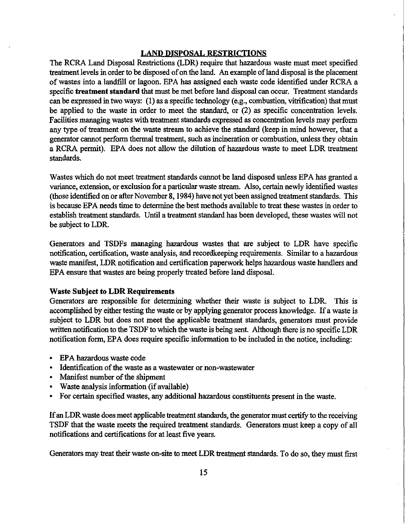# LAND DISPOSAL RESTRICTIONS

The RCRA Land Disposal Restrictions (LDR) require that hazardous waste must meet specified treatment levels in order to be disposed of on the land. An example of land disposal is the placement of wastes into a landfill or lagoon. EPA has assigned each waste code identified under RCRA a specific treatment standard that must be met before land disposal can occur. Treatment standards can be expressed in two ways: (1) as a specific technology (e.g., combustion, vitrification) that must be applied to the waste in order to meet the standard, or (2) as specific concentration levels. Facilities managing wastes with treatment standards expressed as concentration levels may perform any type of treatment on the waste stream to achieve the standard (keep in mind however, that a generator cannot perform thermal treatment, such as incineration or combustion, unless they obtain a RCRA permit). EPA does not allow the dilution of hazardous waste to meet LDR treatment standards.

Wastes which do not meet treatment standards cannot be land disposed unless EPA has granted a variance, extension, or exclusion for a particular waste stream. Also, certain newly identified wastes (those identified on or after November 8, 1984) have not yet been assigned treatment standards. This is because EPA needs time to determine the best methods available to treat these wastes in order to establish treatment standards. Until a treatment standard has been developed, these wastes will not be subject to LDR.

Generators and TSDFs managing hazardous wastes that are subject to LDR have specific notification, certification, waste analysis, and recordkeeping requirements. Similar to a hazardous waste manifest, LDR notification and certification paperwork helps hazardous waste handlers and EPA ensure that wastes are being properly treated before land disposal.

# Waste Subject to **LDR** Requirements

Generators are responsible for determining whether their waste is subject to LDR. This is accomplished by either testing the waste or by applying generator process knowledge. If a waste is subject to LDR but does not meet the applicable treatment standards, generators must provide written notification to the TSDF to which the waste is being sent. Although there is no specific LDR notification form, EPA does require specific information to be included in the notice, including:

- EPA hazardous waste code
- Identification of the waste as a wastewater or non-wastewater
- Manifest number of the shipment
- Waste analysis information (if available)
- For certain specified wastes, any additional hazardous constituents present in the waste.

If an LDR waste does meet applicable treatment standards, the generator must certify to the receiving TSDF that the waste meets the required treatment standards. Generators must keep a copy of all notifications and certifications for at least five years.

Generators may treat their waste on-site to meet LDR treatment standards. To do so, they must first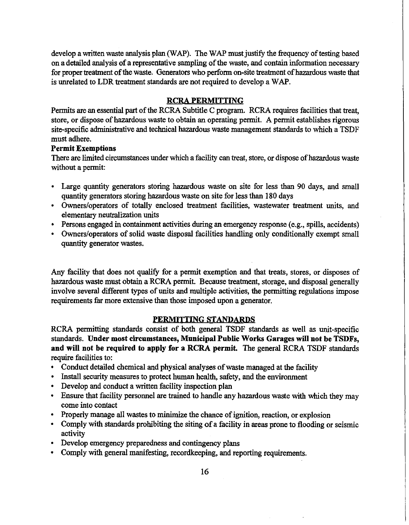develop a written waste analysis plan (WAP). The WAP must justify the frequency of testing based on a detailed analysis of a representative sampling of the waste, and contain information necessary for proper treatment of the waste. Generators who perform on-site treatment of hazardous waste that is unrelated to LDR treatment standards are not required to develop a WAP.

# RCRA PERMITTING

Permits are an essential part of the RCRA Subtitle C program. RCRA requires facilities that treat, store, or dispose of hazardous waste to obtain an operating permit. A permit establishes rigorous site-specific administrative and technical hazardous waste management standards to which a TSDF must adhere.

# Permit Exemptions

There are limited circumstances under which a facility can treat, store, or dispose of hazardous waste without a permit:

- Large quantity generators storing hazardous waste on site for less than 90 days, and small quantity generators storing hazardous waste on site for less than 180 days
- Owners/operators of totally enclosed treatment facilities, wastewater treatment units, and elementary neutralization units
- Persons engaged in containment activities during an emergency response (e.g., spills, accidents)
- Owners/operators of solid waste disposal facilities handling only conditionally exempt small quantity generator wastes.

Any facility that does not qualify for a permit exemption and that treats, stores, or disposes of hazardous waste must obtain a RCRA permit. Because treatment, storage, and disposal generally involve several different types of units and multiple activities, the permitting regulations impose requirements far more extensive than those imposed upon a generator.

# PERMITTING STANDARDS

RCRA permitting standards consist of both general TSDF standards as well as unit-specific standards. Under most circumstances, Municipal Public Works Garages will not be TSDFs, and will not be required to apply for a RCRA permit. The general RCRA TSDF standards require facilities to:

- Conduct detailed chemical and physical analyses of waste managed at the facility
- Install security measures to protect human health, safety, and the environment
- Develop and conduct a written facility inspection plan
- Ensure that facility personnel are trained to handle any hazardous waste with which they may come into contact
- Properly manage all wastes to minimize the chance of ignition, reaction, or explosion
- Comply with standards prohibiting the siting of a facility in areas prone to flooding or seismic activity
- Develop emergency preparedness and contingency plans
- Comply with general manifesting, recordkeeping, and reporting requirements.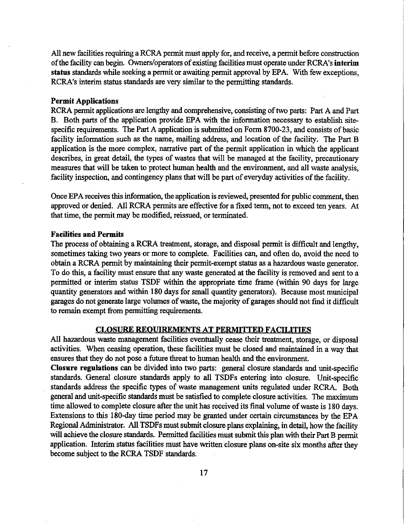All new facilities requiring a RCRA permit must apply for, and receive, a permit before construction of the facility can begin. Owners/operators of existing facilities must operate under RCRA's interim status standards while seeking a permit or awaiting permit approval by EPA. With few exceptions, RCRA's interim status standards are very similar to the permitting standards.

## Permit Applications

RCRA pennit applications are lengthy and comprehensive, consisting of two parts: Part A and Part B. Both parts of the application provide EPA with the information necessary to establish sitespecific requirements. The Part A application is submitted on Form 8700-23, and consists of basic facility information such as the name, mailing address, and location of the facility. The Part B application is the more complex, narrative part of the pennit application in which the applicant describes, in great detail, the types of wastes that will be managed at the facility, precautionary measures that will be taken to protect human health and the environment, and all waste analysis, facility inspection, and contingency plans that will be part of everyday activities of the facility.

Once EPA receives this information, the application is reviewed, presented for public comment, then approved or denied. All RCRA pennits are effective for a fixed term, not to exceed ten years. At that time, the permit may be modified, reissued, or terminated.

### Facilities and Permits

The process of obtaining a RCRA treatment, storage, and disposal permit is difficult and lengthy, sometimes taking two years or more to complete. Facilities can, and often do, avoid the need to obtain a RCRA permit by maintaining their permit-exempt status as a hazardous waste generator. To do this, a facility must ensure that any waste generated at the facility is removed and sent to a permitted or interim status TSDF within the appropriate time frame (within 90 days for large quantity generators and within 180 days for small quantity generators). Because most municipal garages do not generate large volumes of waste, the majority of garages should not find it difficult to remain exempt from permitting requirements.

# CLOSURE REOUIREMENTS AT PERMITTED FACILITIES

All hazardous waste management facilities eventually cease their treatment, storage, or disposal activities. When ceasing operation, these facilities must be closed and maintained in a way that ensures that they do not pose a future threat to human health and the environment.

Closure regulations can be divided into two parts: general closure standards and unit-specific standards. General closure standards apply to all TSDFs entering into closure. Unit-specific standards address the specific types of waste management units regulated under RCRA. Both general and unit-specific standards must be satisfied to complete closure activities. The maximum time allowed to complete closure after the unit has received its final volume of waste is 180 days. Extensions to this 180-day time period may be granted under certain circumstances by the EPA Regional Administrator. All TSDFs must submit closure plans explaining, in detail, how the facility will achieve the closure standards. Permitted facilities must submit this plan with their Part B permit application. Interim status facilities must have written closure plans on-site six months after they become subject to the RCRA TSDF standards.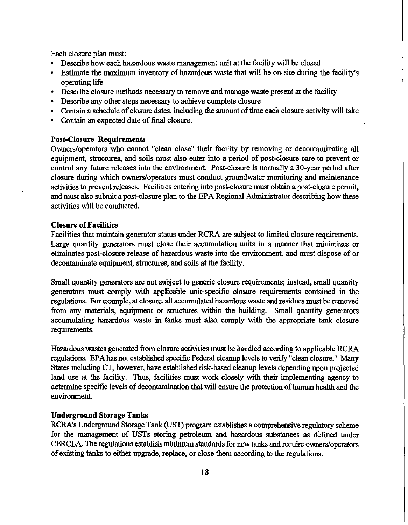Each closure plan must:

- Describe how each hazardous waste management unit at the facility will be closed
- Estimate the maximum inventory of hazardous waste that will be on-site during the facility's operating life
- Describe closure methods necessary to remove and manage waste present at the facility
- Describe any other steps necessary to achieve complete closure
- Contain a schedule of closure dates, including the amount of time each closure activity will take
- Contain an expected date of final closure.

## **Post-Closure Requirements**

Owners/operators who cannot "clean close" their facility by removing or decontaminating all equipment, structures, and soils must also enter into a period of post-closure care to prevent or control any future releases into the environment. Post-closure is normally a 30-year period after closure during which owners/operators must conduct groundwater monitoring and maintenance activities to prevent releases. Facilities entering into post-closure must obtain a post-closure permit, and must also submit a post-closure plan to the EPA Regional Administrator describing how these activities will be conducted.

#### **Closure of Facilities**

Facilities that maintain generator status under RCRA are subject to limited closure requirements. Large quantity generators must close their accumulation units in a manner that minimizes or eliminates post-closure release of hazardous waste into the environment, and must dispose of or decontaminate equipment, structures, and soils at the facility.

Small quantity generators are not subject to generic closure requirements; instead, small quantity generators must comply with applicable unit-specific closure requirements contained in the regulations. For example, at closure, all accumulated hazardous waste and residues must be removed from any materials, equipment or structures within the building. Small quantity generators accumulating hazardous waste in tanks must also, comply with the appropriate tank closure requirements.

Hazardous wastes generated from closure activities must be handled according to applicable RCRA regulations. EPA has not established specific Federal cleanup levels to verify "clean closure." Many States including CT, however, have established risk-based cleanup levels depending upon projected land use at the facility. Thus, facilities must work closely with their implementing agency to determine specific levels of decontamination that will ensure the protection of human health and the environment.

# **Underground Storage Tanks**

RCRA's Underground Storage Tank (UST) program establishes a comprehensive regulatory scheme for the management of USTs storing petroleum and hazardous substances as defined under CERCLA. The regulations establish minimum standards for new tanks and require owners/operators of existing tanks to either upgrade, replace, or close them according to the regulations.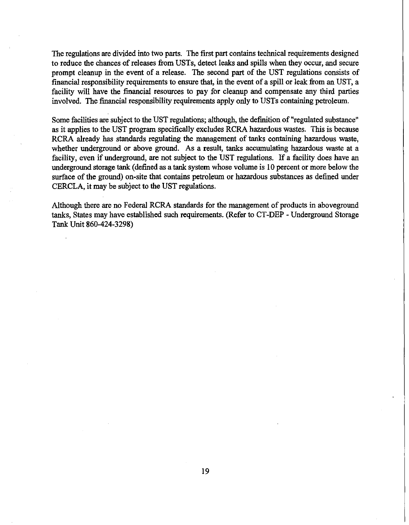The regulations are divided into two parts. The first part contains technical requirements designed to reduce the chances of releases from USTs, detect leaks and spills when they occur, and secure prompt cleanup in the event of a release. The second part of the UST regulations consists of financial responsibility requirements to ensure that, in the event of a spill or leak from an UST, a facility will have the financial resources to pay for cleanup and compensate any third parties involved. The financial responsibility requirements apply only to USTs containing petroleum.

Some facilities are subject to the UST regulations; although, the definition of "regulated substance" as it applies to the UST program specifically excludes RCRA hazardous wastes. This is because RCRA already has standards regulating the management of tanks containing hazardous waste, whether underground or above ground. As a result, tanks accumulating hazardous waste at a facility, even if underground, are not subject to the UST regulations. If a facility does have an underground storage tank (defined as a tank system whose volume is 10 percent or more below the surface of the ground) on-site that contains petroleum or hazardous substances as defined under CERCLA, it may be subject to the UST regulations.

Although there are no Federal RCRA standards for the management of products in aboveground tanks, States may have established such requirements. (Refer to CT-DEP - Underground Storage Tank Unit 860-424-3298)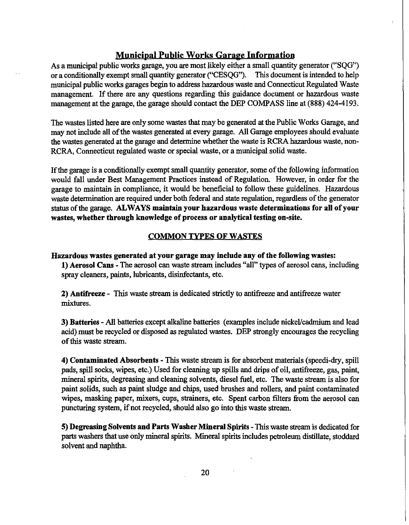# Municipal Public Works Garage Information

As a municipal public works garage, you are most likely either a small quantity generator ("SQG") or a conditionally exempt small quantity generator ("CESQG"). This document is intended to help municipal public works garages begin to address hazardous waste and Connecticut Regulated Waste management. If there are any questions regarding this guidance document or hazardous waste management at the garage, the garage should contact the DEP COMPASS line at (888) 424-4193.

The wastes listed here are only some wastes that may be generated at the Public Works Garage, and may not include all of the wastes generated at every garage. All Garage employees should evaluate the wastes generated at the garage and determine whether the waste is RCRA hazardous waste, non-RCRA, Connecticut regulated waste or special waste, or a municipal solid waste.

If the garage is a conditionally exempt small quantity generator, some of the following information would fall under Best Management Practices instead of Regulation. However, in order for the garage to maintain in compliance, it would be beneficial to follow these guidelines. Hazardous waste determination are required under both federal and state regulation, regardless of the generator status of the garage. ALWAYS maintain your hazardous waste determinations for all of your wastes, whether through knowledge of process or analytical testing on-site.

# COMMON IYPES OF WASTES

## Hazardous wastes generated at your garage may include any of the following wastes:

1) Aerosol Cans - The aerosol can waste stream includes "all" types of aerosol cans, including spray cleaners, paints, lubricants, disinfectants, etc.

2) Antifreeze - This waste stream is dedicated strictly to antifreeze and antifreeze water mixtures.

3) Batteries - All batteries except alkaline batteries (examples include nickel/cadmium and lead acid) must be recycled or disposed as regulated wastes. DEP strongly encourages the recycling of this waste stream.

4) Contaminated Absorbents -This waste stream is for absorbent materials (speedi-dry, spill pads, spill socks, wipes, etc.) Used for cleaning up spills and drips of oil, antifreeze, gas, paint, mineral spirits, degreasing and cleaning solvents, diesel fuel, etc. The waste stream is also for paint solids, such as paint sludge and chips, used brushes and rollers, and paint contaminated wipes, masking paper, mixers, cups, strainers, etc. Spent carbon filters from the aerosol can puncturing system, if not recycled, should also go into this waste stream.

5) Degreasing Solvents and Parts Washer Mineral Spirits - This waste stream is dedicated for parts washers that use only mineral spirits. Mineral spirits includes petroleum distillate, stoddard solvent and naphtha.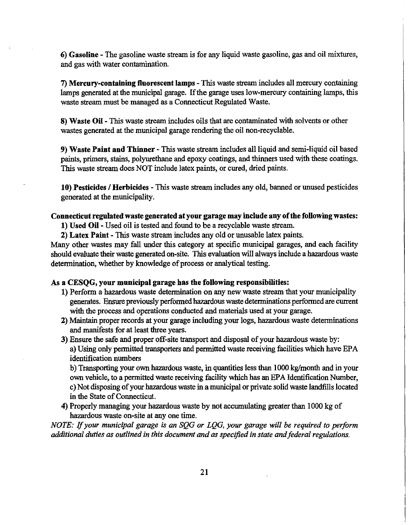6) Gasoline - The gasoline waste stream is for any liquid waste gasoline, gas and oil mixtures, and gas with water contamination.

7) Mercury-containing fluorescent lamps - This waste stream includes all mercury containing lamps generated at the municipal garage. If the garage uses low-mercury containing lamps, this waste stream must be managed as a Connecticut Regulated Waste.

8) Waste Oil - This waste stream includes oils that are contaminated with solvents or other wastes generated at the municipal garage rendering the oil non-recyclable.

9) Waste Paint and Thinner - This waste stream includes all liquid and semi-liquid oil based paints, primers, stains, polyurethane and epoxy coatings, and thinners used with these coatings. This waste stream does NOT include latex paints, or cured, dried paints.

10) Pesticides / Herbicides - This waste stream includes any old, banned or unused pesticides generated at the municipality.

# Connecticut regulated waste generated at your garage may include any of the following wastes:

1) Used Oil - Used oil is tested and found to be a recyclable waste stream.

2) Latex Paint - This waste stream includes any old or unusable latex paints.

Many other wastes may fall under this category at specific municipal garages, and each facility should evaluate their waste generated on-site. This evaluation will always include a hazardous waste determination, whether by knowledge of process or analytical testing.

# As a CESQG, your municipal garage has the following responsibilities:

- 1) Perform a hazardous waste determination on any new waste stream that your municipality generates. Ensure previously performed hazardous waste determinations performed are current with the process and operations conducted and materials used at your garage.
- 2) Maintain proper records at your garage including your logs, hazardous waste determinations and manifests for at least three years.
- 3) Ensure the safe and proper off-site transport and disposal of your hazardous waste by: a) Using only permitted transporters and permitted waste receiving facilities which have EPA identification numbers

b) Transporting your own hazardous waste, in quantities less than l 000 kg/month and in your own vehicle, to a permitted waste receiving facility which has an EPA Identification Number, c) Not disposing of your hazardous waste in a municipal or private solid waste landfills located in the State of Connecticut.

4) Properly managing your hazardous waste by not accumulating greater than I 000 kg of hazardous waste on-site at any one time.

*NOTE:* If *your municipal garage is an SQG or LQG, your garage will be required to perform additional duties as outlined in this document and as specified in state and federal regulations.*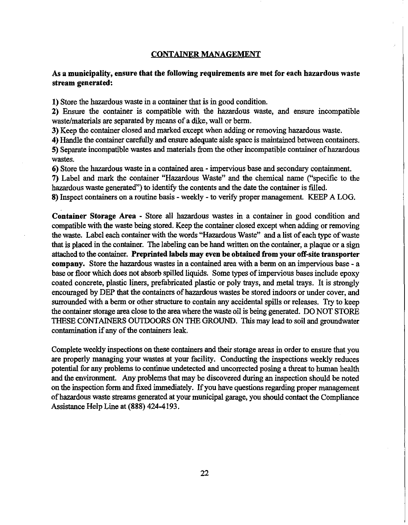## CONTAINER MANAGEMENT

# As a municipality, ensure that the following requirements are met for each hazardous waste stream generated:

1) Store the hazardous waste in a container that is in good condition.

2) Ensure the container is compatible with the hazardous waste, and ensure incompatible waste/materials are separated by means of a dike, wall or berm.

3) Keep the container closed and marked except when adding or removing hazardous waste.

4) Handle the container carefully and ensure adequate aisle space is maintained between containers. 5) Separate incompatible wastes and materials from the other incompatible container of hazardous wastes.

6) Store the hazardous waste in a contained area - impervious base and secondary containment.

7) Label and mark the container "Hazardous Waste" and the chemical name ("specific to the hazardous waste generated") to identify the contents and the date the container is filled.

8) Inspect containers on a routine basis - weekly - to verify proper management. KEEP A LOG.

Container Storage Area - Store all hazardous wastes in a container in good condition and compatible with the waste being stored. Keep the container closed except when adding or removing the waste. Label each container with the words "Hazardous Waste" and a list of each type of waste that is placed in the container. The labeling can be hand written on the container, a plaque or a sign attached to the container. Preprinted labels may even be obtained from your off-site transporter company. Store the hazardous wastes in a contained area with a berm on an impervious base - a base or floor which does not absorb spilled liquids. Some types of impervious bases include epoxy coated concrete, plastic liners, prefabricated plastic or poly trays, and metal trays. It is strongly encouraged by DEP that the containers of hazardous wastes be stored indoors or under cover, and surrounded with a berm or other structure to contain any accidental spills or releases. Try to keep the container storage area close to the area where the waste oil is being generated. DO NOT STORE THESE CONTAINERS OUTDOORS ON THE GROUND. This may lead to soil and groundwater contamination if any of the containers leak.

Complete weekly inspections on these containers and their storage areas in order to ensure that you are properly managing your wastes at your facility. Conducting the inspections weekly reduces potential for any problems to continue undetected and uncorrected posing a threat to human health and the environment. Any problems that may be discovered during an inspection should be noted on the inspection form and fixed immediately. If you have questions regarding proper management of hazardous waste streams generated at your municipal garage, you should contact the Compliance Assistance Help Line at (888) 424-4193.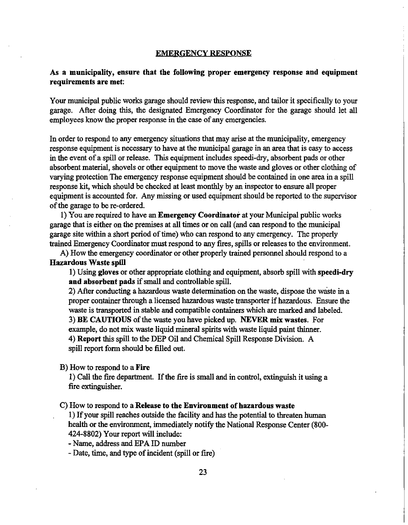#### EMERGENCY RESPONSE

# As a municipality, ensure that the following proper emergency response and equipment requirements are met:

Your municipal public works garage should review this response, and tailor it specifically to your garage. After doing this, the designated Emergency Coordinator for the garage should let all employees know the proper response in the case of any emergencies.

In order to respond to any emergency situations that may arise at the municipality, emergency response equipment is necessary to have at the municipal garage in an area that is easy to access in the event of a spill or release. This equipment includes speedi-dry, absorbent pads or other absorbent material, shovels or other equipment to move the waste and gloves or other clothing of varying protection The emergency response equipment should be contained in one area in a spill response kit, which should be checked at least monthly by an inspector to ensure all proper equipment is accounted for. Any missing or used equipment should be reported to the supervisor of the garage to be re-ordered.

1) You are required to have an Emergency Coordinator at your Municipal public works garage that is either on the premises at all times or on call (and can respond to the municipal garage site within a short period of time) who can respond to any emergency. The properly trained Emergency Coordinator must respond to any fires, spills or releases to the environment.

A) How the emergency coordinator or other properly trained personnel should respond to a Hazardous Waste spill

1) Using gloves or other appropriate clothing and equipment, absorb spill with speedi-dry and absorbent pads if small and controllable spill.

2) After conducting a hazardous waste determination on the waste, dispose the waste in a proper container through a licensed hazardous waste transporter if hazardous. Ensure the waste is transported in stable and compatible containers which are marked and labeled. 3) BE CAUTIOUS of the waste you have picked up. NEVER mix wastes. For example, do not mix waste liquid mineral spirits with waste liquid paint thinner. 4) Report this spill to the DEP Oil and Chemical Spill Response Division. A spill report form should be filled out.

#### B) How to respond to a Fire

1) Call the fire department. If the fue is small and in control, extinguish it using a fire extinguisher.

#### C) How to respond to a Release to the Environment of hazardous waste

1) If your spill reaches outside the facility and has the potential to threaten human health or the environment, immediately notify the National Response Center (800- 424-8802) Your report will include:

- Name, address and EPA ID number

- Date, time, and type of incident (spill or fire)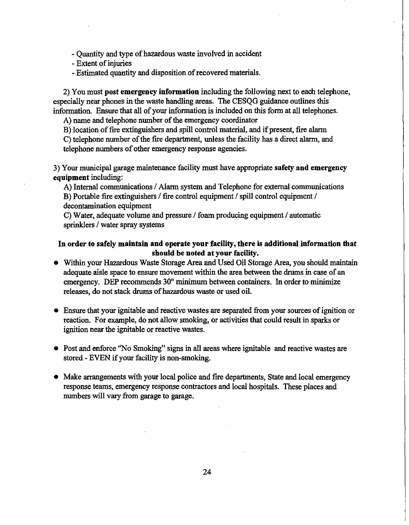- Quantity and type of hazardous waste involved in accident
- Extent of injuries
- Estimated quantity and disposition of recovered materials.

2) You must post emergency information including the following next to each telephone, especially near phones in the waste handling areas. The CESQG guidance outlines this information. Ensure that all of your information is included on this form at all telephones.

A) name and telephone number of the emergency coordinator

B) location of fire extinguishers and spill control material, and if present, fire alarm

C) telephone number of the fire department, unless the facility has a direct alarm, and telephone numbers of other emergency response agencies.

3) Your municipal garage maintenance facility must have appropriate safety and emergency equipment including:

A) Internal communications / Alarm system and Telephone for external communications B) Portable fire extinguishers / fire control equipment / spill control equipment / decontamination equipment

C) Water, adequate volume and pressure / foam producing equipment / automatic sprinklers / water spray systems

# In order to safely maintain and operate your facility, there is additional information that should be noted at your facility.

- Within your Hazardous Waste Storage Area and Used Oil Storage Area, you should maintain adequate aisle space to ensure movement within the area between the drums in case of an emergency. DEP recommends 30" minimum between containers. In order to minimize releases, do not stack drums of hazardous waste or used oil.
- Ensure that your ignitable and reactive wastes are separated from your sources of ignition or reaction. For example, do not allow smoking, or activities that could result in sparks or ignition near the ignitable or reactive wastes.
- Post and enforce "No Smoking" signs in all areas where ignitable and reactive wastes are stored - EVEN if your facility is non-smoking.
- Make arrangements with your local police and fire departments, State and local emergency response teams, emergency response contractors and local hospitals. These places and numbers will vary from garage to garage.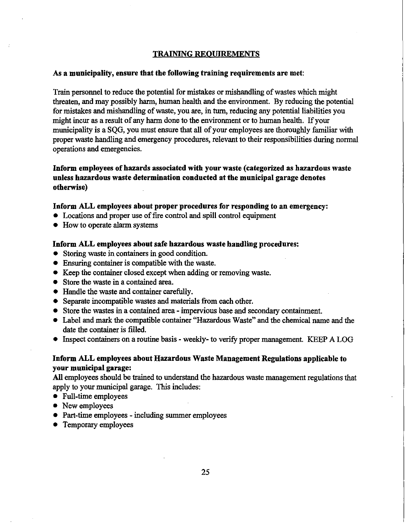# TRAINING REQUIREMENTS

#### As a municipality, ensure that the following training requirements are met:

Train personnel to reduce the potential for mistakes or mishandling of wastes which might threaten, and may possibly harm, human health and the environment. By reducing the potential for mistakes and mishandling of waste, you are, in turn, reducing any potential liabilities you might incur as a result of any harm done to the environment or to human health. If your municipality is a SQG, you must ensure that all of your employees are thoroughly familiar with proper waste handling and emergency procedures, relevant to their responsibilities during normal operations and emergencies.

Inform employees of hazards associated with your waste (categorized as hazardous waste unless hazardous waste determination conducted at the municipal garage denotes otherwise)

## Inform ALL employees about proper procedures for responding to an emergency:

- Locations and proper use of fire control and spill control equipment
- How to operate alarm systems

#### Inform ALL employees about safe hazardous waste handling procedures:

- Storing waste in containers in good condition.
- Ensuring container is compatible with the waste.
- Keep the container closed except when adding or removing waste.
- Store the waste in a contained area.
- Handle the waste and container carefully.
- Separate incompatible wastes and materials from each other.
- Store the wastes in a contained area impervious base and secondary containment.
- Label and mark the compatible container "Hazardous Waste" and the chemical name and the date the container is filled.
- Inspect containers on a routine basis weekly- to verify proper management. KEEP A LOG

# Inform ALL employees about Hazardous Waste Management Regulations applicable to your municipal garage:

All employees should be trained to understand the hazardous waste management regulations that apply to your municipal garage. This includes:

- Full-time employees
- New employees
- Part-time employees including summer employees
- Temporary employees